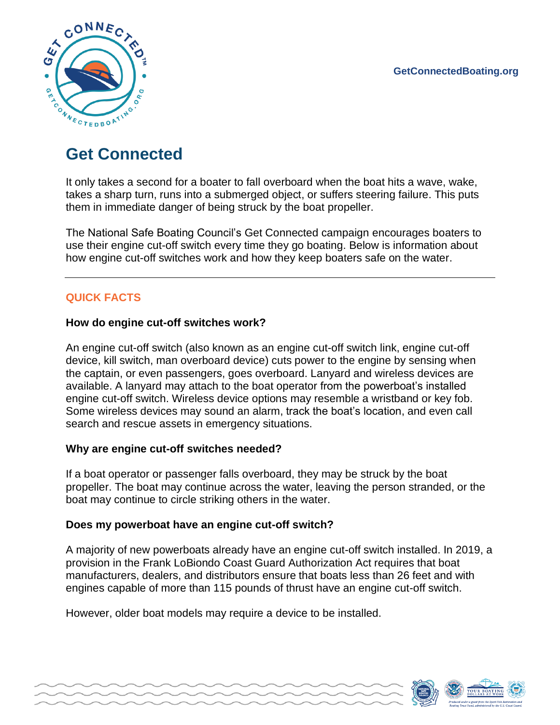

# **Get Connected**

It only takes a second for a boater to fall overboard when the boat hits a wave, wake, takes a sharp turn, runs into a submerged object, or suffers steering failure. This puts them in immediate danger of being struck by the boat propeller.

The National Safe Boating Council's Get Connected campaign encourages boaters to use their engine cut-off switch every time they go boating. Below is information about how engine cut-off switches work and how they keep boaters safe on the water.

# **QUICK FACTS**

## **How do engine cut-off switches work?**

An engine cut-off switch (also known as an engine cut-off switch link, engine cut-off device, kill switch, man overboard device) cuts power to the engine by sensing when the captain, or even passengers, goes overboard. Lanyard and wireless devices are available. A lanyard may attach to the boat operator from the powerboat's installed engine cut-off switch. Wireless device options may resemble a wristband or key fob. Some wireless devices may sound an alarm, track the boat's location, and even call search and rescue assets in emergency situations.

## **Why are engine cut-off switches needed?**

If a boat operator or passenger falls overboard, they may be struck by the boat propeller. The boat may continue across the water, leaving the person stranded, or the boat may continue to circle striking others in the water.

### **Does my powerboat have an engine cut-off switch?**

A majority of new powerboats already have an engine cut-off switch installed. In 2019, a provision in the Frank LoBiondo Coast Guard Authorization Act requires that boat manufacturers, dealers, and distributors ensure that boats less than 26 feet and with engines capable of more than 115 pounds of thrust have an engine cut-off switch.

However, older boat models may require a device to be installed.